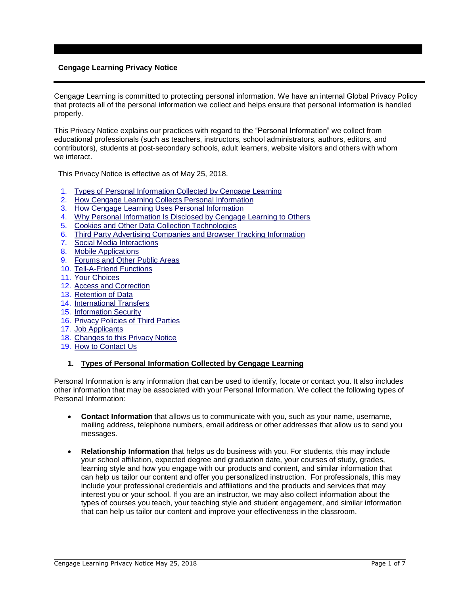# **Cengage Learning Privacy Notice**

Cengage Learning is committed to protecting personal information. We have an internal Global Privacy Policy that protects all of the personal information we collect and helps ensure that personal information is handled properly.

This Privacy Notice explains our practices with regard to the "Personal Information" we collect from educational professionals (such as teachers, instructors, school administrators, authors, editors, and contributors), students at post-secondary schools, adult learners, website visitors and others with whom we interact.

This Privacy Notice is effective as of May 25, 2018.

- 1. Types of Personal Information Collected by Cengage Learning
- 2. How Cengage Learning Collects Personal Information
- 3. How Cengage Learning Uses Personal Information
- 4. Why Personal Information Is Disclosed by Cengage Learning to Others
- 5. Cookies and Other Data Collection Technologies
- 6. Third Party Advertising Companies and Browser Tracking Information
- 7. Social Media Interactions
- 8. Mobile Applications
- 9. Forums and Other Public Areas
- 10. Tell-A-Friend Functions
- 11. Your Choices
- 12. Access and Correction
- 13. Retention of Data
- 14. International Transfers
- 15. Information Security
- 16. Privacy Policies of Third Parties
- 17. Job Applicants
- 18. Changes to this Privacy Notice
- 19. How to Contact Us

### **1. Types of Personal Information Collected by Cengage Learning**

Personal Information is any information that can be used to identify, locate or contact you. It also includes other information that may be associated with your Personal Information. We collect the following types of Personal Information:

- **Contact Information** that allows us to communicate with you, such as your name, username, mailing address, telephone numbers, email address or other addresses that allow us to send you messages.
- **Relationship Information** that helps us do business with you. For students, this may include your school affiliation, expected degree and graduation date, your courses of study, grades, learning style and how you engage with our products and content, and similar information that can help us tailor our content and offer you personalized instruction. For professionals, this may include your professional credentials and affiliations and the products and services that may interest you or your school. If you are an instructor, we may also collect information about the types of courses you teach, your teaching style and student engagement, and similar information that can help us tailor our content and improve your effectiveness in the classroom.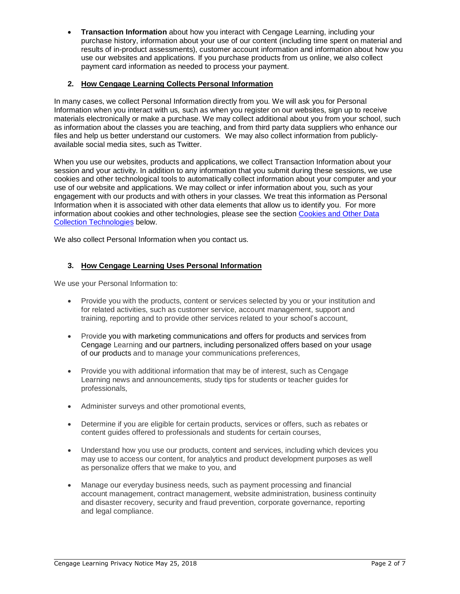• **Transaction Information** about how you interact with Cengage Learning, including your purchase history, information about your use of our content (including time spent on material and results of in-product assessments), customer account information and information about how you use our websites and applications. If you purchase products from us online, we also collect payment card information as needed to process your payment.

# **2. How Cengage Learning Collects Personal Information**

In many cases, we collect Personal Information directly from you. We will ask you for Personal Information when you interact with us, such as when you register on our websites, sign up to receive materials electronically or make a purchase. We may collect additional about you from your school, such as information about the classes you are teaching, and from third party data suppliers who enhance our files and help us better understand our customers. We may also collect information from publiclyavailable social media sites, such as Twitter.

When you use our websites, products and applications, we collect Transaction Information about your session and your activity. In addition to any information that you submit during these sessions, we use cookies and other technological tools to automatically collect information about your computer and your use of our website and applications. We may collect or infer information about you, such as your engagement with our products and with others in your classes. We treat this information as Personal Information when it is associated with other data elements that allow us to identify you. For more information about cookies and other technologies, please see the section Cookies and Other Data Collection Technologies below.

We also collect Personal Information when you contact us.

# **3. How Cengage Learning Uses Personal Information**

We use your Personal Information to:

- Provide you with the products, content or services selected by you or your institution and for related activities, such as customer service, account management, support and training, reporting and to provide other services related to your school's account,
- Provide you with marketing communications and offers for products and services from Cengage Learning and our partners, including personalized offers based on your usage of our products and to manage your communications preferences,
- Provide you with additional information that may be of interest, such as Cengage Learning news and announcements, study tips for students or teacher guides for professionals,
- Administer surveys and other promotional events,
- Determine if you are eligible for certain products, services or offers, such as rebates or content guides offered to professionals and students for certain courses,
- Understand how you use our products, content and services, including which devices you may use to access our content, for analytics and product development purposes as well as personalize offers that we make to you, and
- Manage our everyday business needs, such as payment processing and financial account management, contract management, website administration, business continuity and disaster recovery, security and fraud prevention, corporate governance, reporting and legal compliance.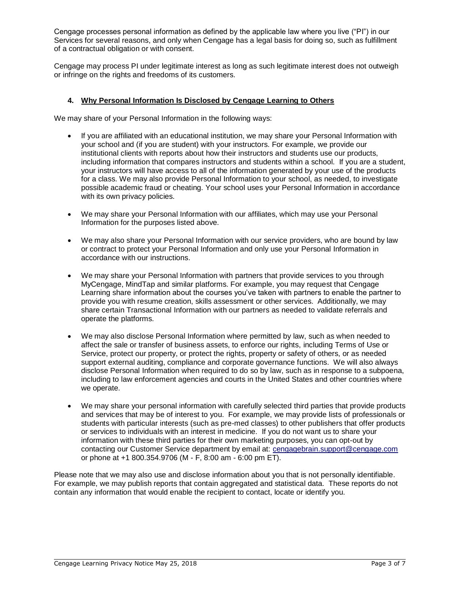Cengage processes personal information as defined by the applicable law where you live ("PI") in our Services for several reasons, and only when Cengage has a legal basis for doing so, such as fulfillment of a contractual obligation or with consent.

Cengage may process PI under legitimate interest as long as such legitimate interest does not outweigh or infringe on the rights and freedoms of its customers.

## **4. Why Personal Information Is Disclosed by Cengage Learning to Others**

We may share of your Personal Information in the following ways:

- If you are affiliated with an educational institution, we may share your Personal Information with your school and (if you are student) with your instructors. For example, we provide our institutional clients with reports about how their instructors and students use our products, including information that compares instructors and students within a school. If you are a student, your instructors will have access to all of the information generated by your use of the products for a class. We may also provide Personal Information to your school, as needed, to investigate possible academic fraud or cheating. Your school uses your Personal Information in accordance with its own privacy policies.
- We may share your Personal Information with our affiliates, which may use your Personal Information for the purposes listed above.
- We may also share your Personal Information with our service providers, who are bound by law or contract to protect your Personal Information and only use your Personal Information in accordance with our instructions.
- We may share your Personal Information with partners that provide services to you through MyCengage, MindTap and similar platforms. For example, you may request that Cengage Learning share information about the courses you've taken with partners to enable the partner to provide you with resume creation, skills assessment or other services. Additionally, we may share certain Transactional Information with our partners as needed to validate referrals and operate the platforms.
- We may also disclose Personal Information where permitted by law, such as when needed to affect the sale or transfer of business assets, to enforce our rights, including Terms of Use or Service, protect our property, or protect the rights, property or safety of others, or as needed support external auditing, compliance and corporate governance functions. We will also always disclose Personal Information when required to do so by law, such as in response to a subpoena, including to law enforcement agencies and courts in the United States and other countries where we operate.
- We may share your personal information with carefully selected third parties that provide products and services that may be of interest to you. For example, we may provide lists of professionals or students with particular interests (such as pre-med classes) to other publishers that offer products or services to individuals with an interest in medicine. If you do not want us to share your information with these third parties for their own marketing purposes, you can opt-out by contacting our Customer Service department by email at: [cengagebrain.support@cengage.com](mailto:cengagebrain.support@cengage.com) or phone at +1 800.354.9706 (M - F, 8:00 am - 6:00 pm ET).

Please note that we may also use and disclose information about you that is not personally identifiable. For example, we may publish reports that contain aggregated and statistical data. These reports do not contain any information that would enable the recipient to contact, locate or identify you.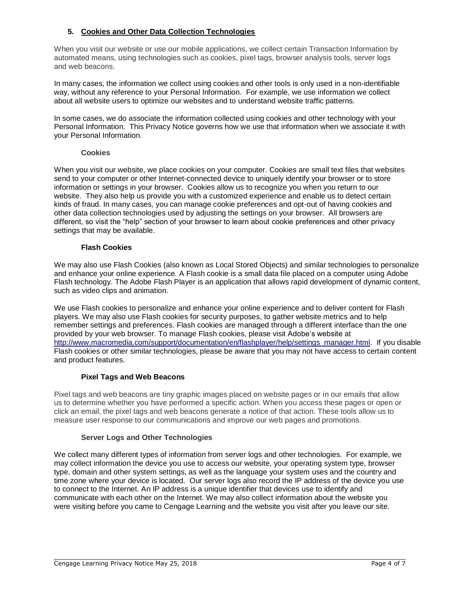# **5. Cookies and Other Data Collection Technologies**

When you visit our website or use our mobile applications, we collect certain Transaction Information by automated means, using technologies such as cookies, pixel tags, browser analysis tools, server logs and web beacons.

In many cases, the information we collect using cookies and other tools is only used in a non-identifiable way, without any reference to your Personal Information. For example, we use information we collect about all website users to optimize our websites and to understand website traffic patterns.

In some cases, we do associate the information collected using cookies and other technology with your Personal Information. This Privacy Notice governs how we use that information when we associate it with your Personal Information.

### **Cookies**

When you visit our website, we place cookies on your computer. Cookies are small text files that websites send to your computer or other Internet-connected device to uniquely identify your browser or to store information or settings in your browser. Cookies allow us to recognize you when you return to our website. They also help us provide you with a customized experience and enable us to detect certain kinds of fraud. In many cases, you can manage cookie preferences and opt-out of having cookies and other data collection technologies used by adjusting the settings on your browser. All browsers are different, so visit the "help" section of your browser to learn about cookie preferences and other privacy settings that may be available.

### **Flash Cookies**

We may also use Flash Cookies (also known as Local Stored Objects) and similar technologies to personalize and enhance your online experience*.* A Flash cookie is a small data file placed on a computer using Adobe Flash technology. The Adobe Flash Player is an application that allows rapid development of dynamic content, such as video clips and animation.

We use Flash cookies to personalize and enhance your online experience and to deliver content for Flash players. We may also use Flash cookies for security purposes, to gather website metrics and to help remember settings and preferences. Flash cookies are managed through a different interface than the one provided by your web browser. To manage Flash cookies, please visit Adobe's website at [http://www.macromedia.com/support/documentation/en/flashplayer/help/settings\\_manager.html.](http://www.macromedia.com/support/documentation/en/flashplayer/help/settings_manager.html) If you disable Flash cookies or other similar technologies, please be aware that you may not have access to certain content and product features.

## **Pixel Tags and Web Beacons**

Pixel tags and web beacons are tiny graphic images placed on website pages or in our emails that allow us to determine whether you have performed a specific action. When you access these pages or open or click an email, the pixel tags and web beacons generate a notice of that action. These tools allow us to measure user response to our communications and improve our web pages and promotions.

## **Server Logs and Other Technologies**

We collect many different types of information from server logs and other technologies. For example, we may collect information the device you use to access our website, your operating system type, browser type, domain and other system settings, as well as the language your system uses and the country and time zone where your device is located. Our server logs also record the IP address of the device you use to connect to the Internet. An IP address is a unique identifier that devices use to identify and communicate with each other on the Internet. We may also collect information about the website you were visiting before you came to Cengage Learning and the website you visit after you leave our site.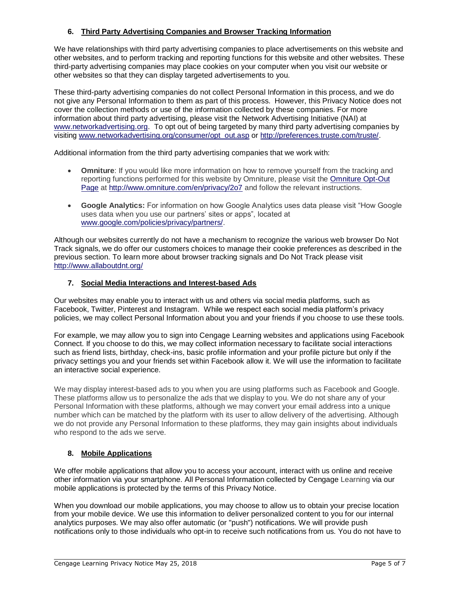# **6. Third Party Advertising Companies and Browser Tracking Information**

We have relationships with third party advertising companies to place advertisements on this website and other websites, and to perform tracking and reporting functions for this website and other websites. These third-party advertising companies may place cookies on your computer when you visit our website or other websites so that they can display targeted advertisements to you.

These third-party advertising companies do not collect Personal Information in this process, and we do not give any Personal Information to them as part of this process. However, this Privacy Notice does not cover the collection methods or use of the information collected by these companies. For more information about third party advertising, please visit the Network Advertising Initiative (NAI) at [www.networkadvertising.org.](http://www.networkadvertising.org/) To opt out of being targeted by many third party advertising companies by visiting [www.networkadvertising.org/consumer/opt\\_out.asp](http://www.networkadvertising.org/consumer/opt_out.asp) or [http://preferences.truste.com/truste/.](http://preferences.truste.com/truste/)

Additional information from the third party advertising companies that we work with:

- **Omniture**: If you would like more information on how to remove yourself from the tracking and reporting functions performed for this website by Omniture, please visit the [Omniture Opt-Out](http://www.omniture.com/en/privacy/2o7)  [Page](http://www.omniture.com/en/privacy/2o7) at<http://www.omniture.com/en/privacy/2o7> and follow the relevant instructions.
- **Google Analytics:** For information on how Google Analytics uses data please visit "How Google uses data when you use our partners' sites or apps", located at [www.google.com/policies/privacy/partners/.](http://www.google.com/policies/privacy/partners/)

Although our websites currently do not have a mechanism to recognize the various web browser Do Not Track signals, we do offer our customers choices to manage their cookie preferences as described in the previous section. To learn more about browser tracking signals and Do Not Track please visit <http://www.allaboutdnt.org/>

## **7. Social Media Interactions and Interest-based Ads**

Our websites may enable you to interact with us and others via social media platforms, such as Facebook, Twitter, Pinterest and Instagram. While we respect each social media platform's privacy policies, we may collect Personal Information about you and your friends if you choose to use these tools.

For example, we may allow you to sign into Cengage Learning websites and applications using Facebook Connect. If you choose to do this, we may collect information necessary to facilitate social interactions such as friend lists, birthday, check-ins, basic profile information and your profile picture but only if the privacy settings you and your friends set within Facebook allow it. We will use the information to facilitate an interactive social experience.

We may display interest-based ads to you when you are using platforms such as Facebook and Google. These platforms allow us to personalize the ads that we display to you. We do not share any of your Personal Information with these platforms, although we may convert your email address into a unique number which can be matched by the platform with its user to allow delivery of the advertising. Although we do not provide any Personal Information to these platforms, they may gain insights about individuals who respond to the ads we serve.

## **8. Mobile Applications**

We offer mobile applications that allow you to access your account, interact with us online and receive other information via your smartphone. All Personal Information collected by Cengage Learning via our mobile applications is protected by the terms of this Privacy Notice.

When you download our mobile applications, you may choose to allow us to obtain your precise location from your mobile device. We use this information to deliver personalized content to you for our internal analytics purposes. We may also offer automatic (or "push") notifications. We will provide push notifications only to those individuals who opt-in to receive such notifications from us. You do not have to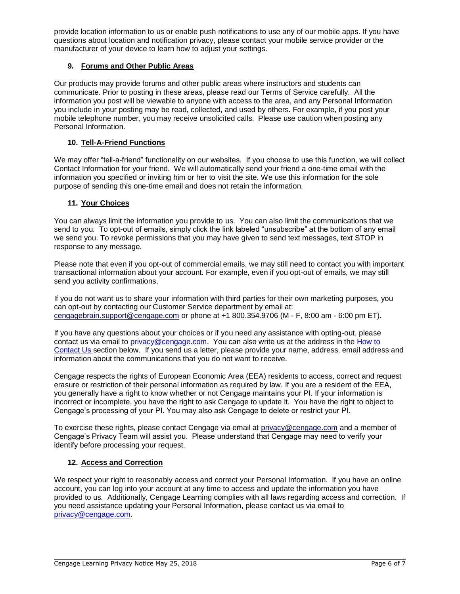provide location information to us or enable push notifications to use any of our mobile apps. If you have questions about location and notification privacy, please contact your mobile service provider or the manufacturer of your device to learn how to adjust your settings.

# **9. Forums and Other Public Areas**

Our products may provide forums and other public areas where instructors and students can communicate. Prior to posting in these areas, please read our Terms of Service carefully. All the information you post will be viewable to anyone with access to the area, and any Personal Information you include in your posting may be read, collected, and used by others. For example, if you post your mobile telephone number, you may receive unsolicited calls. Please use caution when posting any Personal Information.

# **10. Tell-A-Friend Functions**

We may offer "tell-a-friend" functionality on our websites. If you choose to use this function, we will collect Contact Information for your friend. We will automatically send your friend a one-time email with the information you specified or inviting him or her to visit the site. We use this information for the sole purpose of sending this one-time email and does not retain the information.

## **11. Your Choices**

You can always limit the information you provide to us. You can also limit the communications that we send to you. To opt-out of emails, simply click the link labeled "unsubscribe" at the bottom of any email we send you. To revoke permissions that you may have given to send text messages, text STOP in response to any message.

Please note that even if you opt-out of commercial emails, we may still need to contact you with important transactional information about your account. For example, even if you opt-out of emails, we may still send you activity confirmations.

If you do not want us to share your information with third parties for their own marketing purposes, you can opt-out by contacting our Customer Service department by email at: [cengagebrain.support@cengage.com](mailto:cengagebrain.support@cengage.com) or phone at +1 800.354.9706 (M - F, 8:00 am - 6:00 pm ET).

If you have any questions about your choices or if you need any assistance with opting-out, please contact us via email to privacy@cengage.com. You can also write us at the address in the How to Contact Us section below. If you send us a letter, please provide your name, address, email address and information about the communications that you do not want to receive.

Cengage respects the rights of European Economic Area (EEA) residents to access, correct and request erasure or restriction of their personal information as required by law. If you are a resident of the EEA, you generally have a right to know whether or not Cengage maintains your PI. If your information is incorrect or incomplete, you have the right to ask Cengage to update it. You have the right to object to Cengage's processing of your PI. You may also ask Cengage to delete or restrict your PI.

To exercise these rights, please contact Cengage via email at [privacy@cengage.com](mailto:privacy@cengage.com) and a member of Cengage's Privacy Team will assist you. Please understand that Cengage may need to verify your identify before processing your request.

## **12. Access and Correction**

We respect your right to reasonably access and correct your Personal Information. If you have an online account, you can log into your account at any time to access and update the information you have provided to us. Additionally, Cengage Learning complies with all laws regarding access and correction. If you need assistance updating your Personal Information, please contact us via email to privacy@cengage.com.